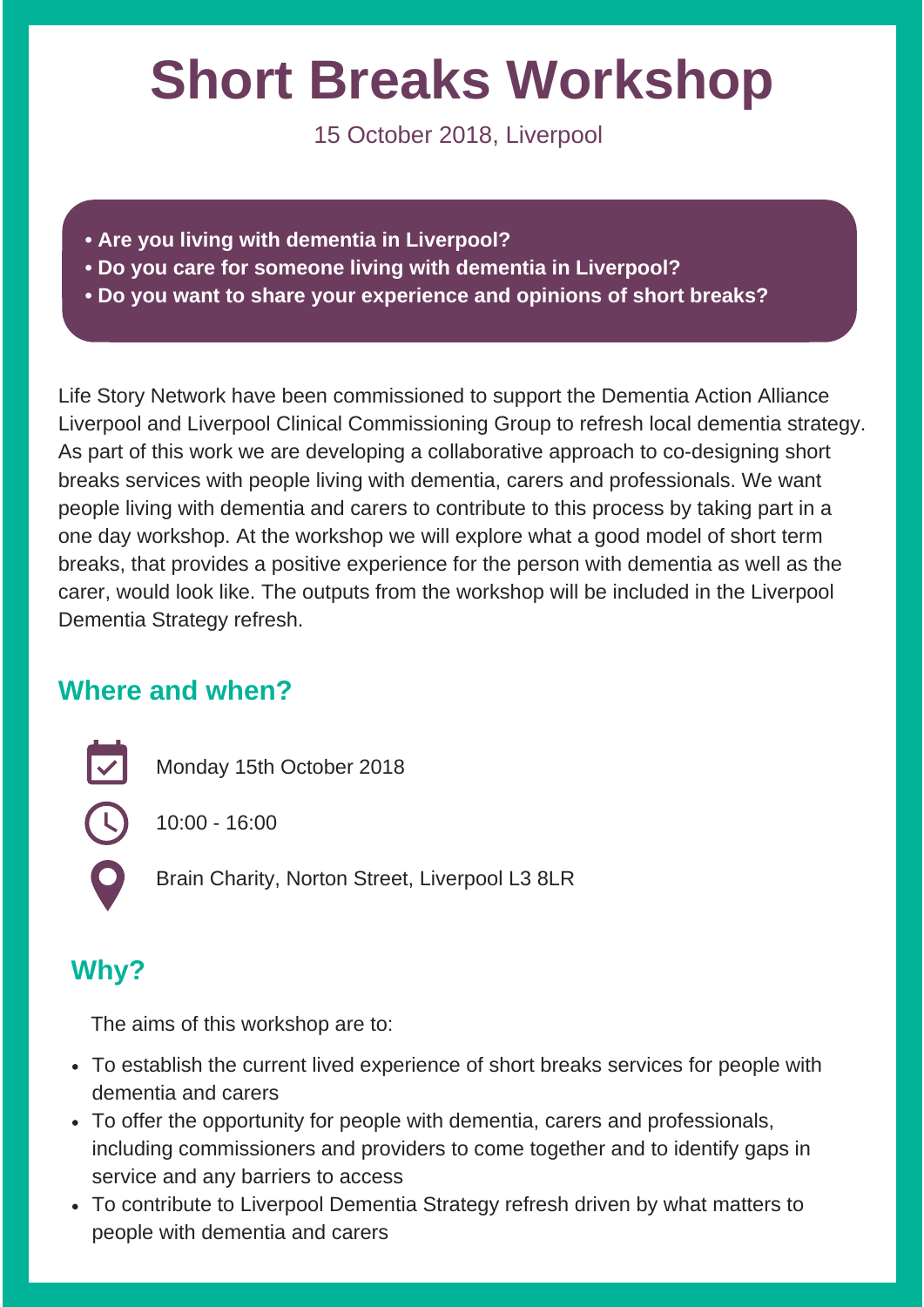# **Short Breaks Workshop**

15 October 2018, Liverpool

- **• Are you living with dementia in Liverpool?**
- **• Do you care for someone living with dementia in Liverpool?**
- **• Do you want to share your experience and opinions of short breaks?**

Life Story Network have been commissioned to support the Dementia Action Alliance Liverpool and Liverpool Clinical Commissioning Group to refresh local dementia strategy. As part of this work we are developing a collaborative approach to co-designing short breaks services with people living with dementia, carers and professionals. We want people living with dementia and carers to contribute to this process by taking part in a one day workshop. At the workshop we will explore what a good model of short term breaks, that provides a positive experience for the person with dementia as well as the carer, would look like. The outputs from the workshop will be included in the Liverpool Dementia Strategy refresh.

## **Where and when?**

 $\overline{\mathbf{v}}$ 

C

Monday 15th October 2018

10:00 - 16:00

Brain Charity, Norton Street, Liverpool L3 8LR

# **Why?**

The aims of this workshop are to:

- To establish the current lived experience of short breaks services for people with dementia and carers
- To offer the opportunity for people with dementia, carers and professionals, including commissioners and providers to come together and to identify gaps in service and any barriers to access
- To contribute to Liverpool Dementia Strategy refresh driven by what matters to people with dementia and carers